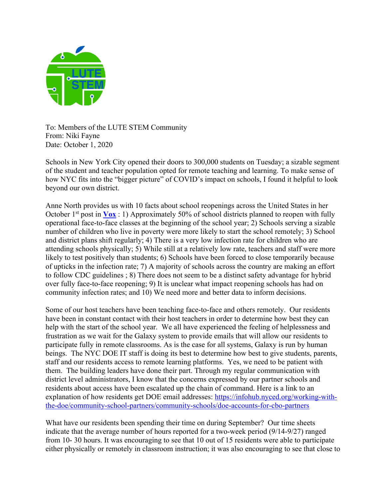

To: Members of the LUTE STEM Community From: Niki Fayne Date: October 1, 2020

Schools in New York City opened their doors to 300,000 students on Tuesday; a sizable segment of the student and teacher population opted for remote teaching and learning. To make sense of how NYC fits into the "bigger picture" of COVID's impact on schools, I found it helpful to look beyond our own district.

Anne North provides us with 10 facts about school reopenings across the United States in her October  $1^{st}$  post in  $\sqrt{V(x)}$  : 1) Approximately 50% of school districts planned to reopen with fully operational face-to-face classes at the beginning of the school year; 2) Schools serving a sizable number of children who live in poverty were more likely to start the school remotely; 3) School and district plans shift regularly; 4) There is a very low infection rate for children who are attending schools physically; 5) While still at a relatively low rate, teachers and staff were more likely to test positively than students; 6) Schools have been forced to close temporarily because of upticks in the infection rate; 7) A majority of schools across the country are making an effort to follow CDC guidelines ; 8) There does not seem to be a distinct safety advantage for hybrid over fully face-to-face reopening; 9) It is unclear what impact reopening schools has had on community infection rates; and 10) We need more and better data to inform decisions.

Some of our host teachers have been teaching face-to-face and others remotely. Our residents have been in constant contact with their host teachers in order to determine how best they can help with the start of the school year. We all have experienced the feeling of helplessness and frustration as we wait for the Galaxy system to provide emails that will allow our residents to participate fully in remote classrooms. As is the case for all systems, Galaxy is run by human beings. The NYC DOE IT staff is doing its best to determine how best to give students, parents, staff and our residents access to remote learning platforms. Yes, we need to be patient with them. The building leaders have done their part. Through my regular communication with district level administrators, I know that the concerns expressed by our partner schools and residents about access have been escalated up the chain of command. Here is a link to an explanation of how residents get DOE email addresses: https://infohub.nyced.org/working-withthe-doe/community-school-partners/community-schools/doe-accounts-for-cbo-partners

What have our residents been spending their time on during September? Our time sheets indicate that the average number of hours reported for a two-week period (9/14-9/27) ranged from 10- 30 hours. It was encouraging to see that 10 out of 15 residents were able to participate either physically or remotely in classroom instruction; it was also encouraging to see that close to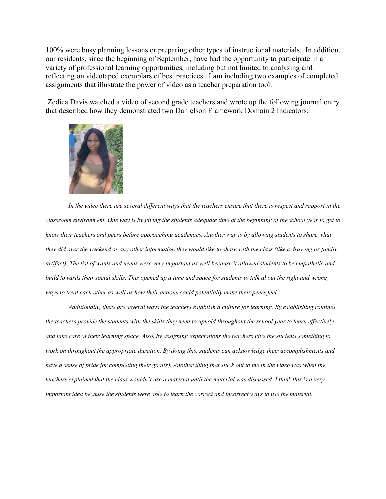100% were busy planning lessons or preparing other types of instructional materials. In addition, our residents, since the beginning of September, have had the opportunity to participate in a variety of professional learning opportunities, including but not limited to analyzing and reflecting on videotaped exemplars of best practices. I am including two examples of completed assignments that illustrate the power of video as a teacher preparation tool.

Zedica Davis watched a video of second grade teachers and wrote up the following journal entry that described how they demonstrated two Danielson Framework Domain 2 Indicators:



*In the video there are several different ways that the teachers ensure that there is respect and rapport in the classroom environment. One way is by giving the students adequate time at the beginning of the school year to get to know their teachers and peers before approaching academics. Another way is by allowing students to share what they did over the weekend or any other information they would like to share with the class (like a drawing or family artifact). The list of wants and needs were very important as well because it allowed students to be empathetic and build towards their social skills. This opened up a time and space for students to talk about the right and wrong ways to treat each other as well as how their actions could potentially make their peers feel.* 

*Additionally, there are several ways the teachers establish a culture for learning. By establishing routines, the teachers provide the students with the skills they need to uphold throughout the school year to learn effectively and take care of their learning space. Also, by assigning expectations the teachers give the students something to work on throughout the appropriate duration. By doing this, students can acknowledge their accomplishments and have a sense of pride for completing their goal(s). Another thing that stuck out to me in the video was when the teachers explained that the class wouldn't use a material until the material was discussed. I think this is a very important idea because the students were able to learn the correct and incorrect ways to use the material.*